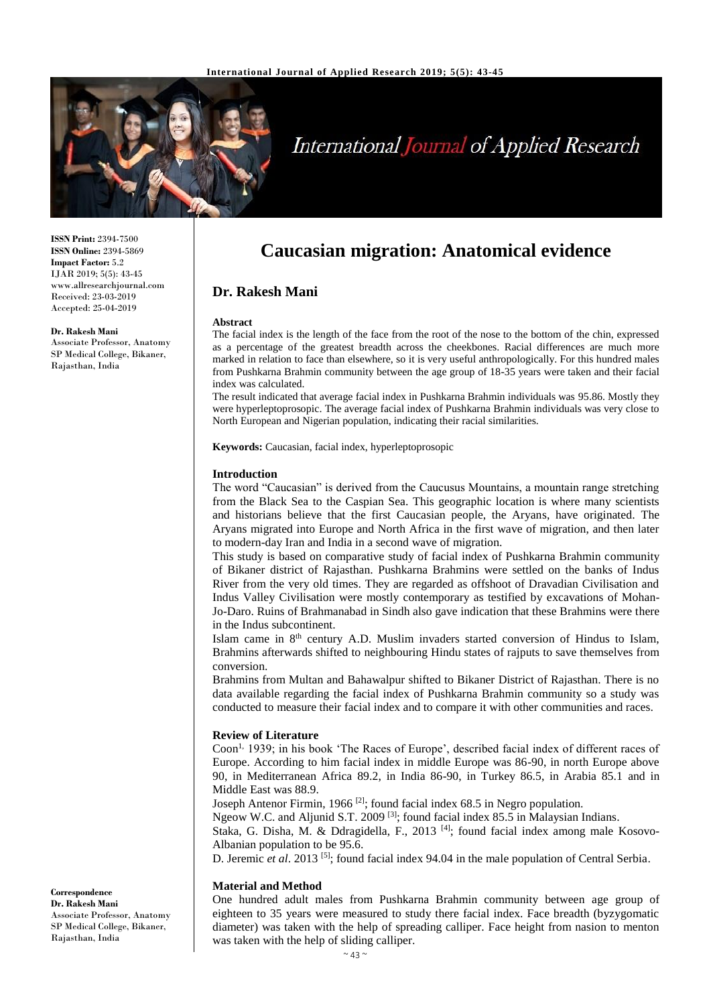

# **International Journal of Applied Research**

**ISSN Print:** 2394-7500 **ISSN Online:** 2394-5869 **Impact Factor:** 5.2 IJAR 2019; 5(5): 43-45 www.allresearchjournal.com Received: 23-03-2019 Accepted: 25-04-2019

**Dr. Rakesh Mani**

Associate Professor, Anatomy SP Medical College, Bikaner, Rajasthan, India

# **Caucasian migration: Anatomical evidence**

# **Dr. Rakesh Mani**

#### **Abstract**

The facial index is the length of the face from the root of the nose to the bottom of the chin, expressed as a percentage of the greatest breadth across the cheekbones. Racial differences are much more marked in relation to face than elsewhere, so it is very useful anthropologically. For this hundred males from Pushkarna Brahmin community between the age group of 18-35 years were taken and their facial index was calculated.

The result indicated that average facial index in Pushkarna Brahmin individuals was 95.86. Mostly they were hyperleptoprosopic. The average facial index of Pushkarna Brahmin individuals was very close to North European and Nigerian population, indicating their racial similarities.

**Keywords:** Caucasian, facial index, hyperleptoprosopic

#### **Introduction**

The word "Caucasian" is derived from the Caucusus Mountains, a mountain range stretching from the Black Sea to the Caspian Sea. This geographic location is where many scientists and historians believe that the first Caucasian people, the Aryans, have originated. The Aryans migrated into Europe and North Africa in the first wave of migration, and then later to modern-day Iran and India in a second wave of migration.

This study is based on comparative study of facial index of Pushkarna Brahmin community of Bikaner district of Rajasthan. Pushkarna Brahmins were settled on the banks of Indus River from the very old times. They are regarded as offshoot of Dravadian Civilisation and Indus Valley Civilisation were mostly contemporary as testified by excavations of Mohan-Jo-Daro. Ruins of Brahmanabad in Sindh also gave indication that these Brahmins were there in the Indus subcontinent.

Islam came in 8<sup>th</sup> century A.D. Muslim invaders started conversion of Hindus to Islam, Brahmins afterwards shifted to neighbouring Hindu states of rajputs to save themselves from conversion.

Brahmins from Multan and Bahawalpur shifted to Bikaner District of Rajasthan. There is no data available regarding the facial index of Pushkarna Brahmin community so a study was conducted to measure their facial index and to compare it with other communities and races.

#### **Review of Literature**

Coon<sup>1,</sup> 1939; in his book 'The Races of Europe', described facial index of different races of Europe. According to him facial index in middle Europe was 86-90, in north Europe above 90, in Mediterranean Africa 89.2, in India 86-90, in Turkey 86.5, in Arabia 85.1 and in Middle East was 88.9.

Joseph Antenor Firmin, 1966<sup>[2]</sup>; found facial index 68.5 in Negro population.

Ngeow W.C. and Aljunid S.T. 2009 [3]; found facial index 85.5 in Malaysian Indians.

Staka, G. Disha, M. & Ddragidella, F., 2013<sup>[4]</sup>; found facial index among male Kosovo-Albanian population to be 95.6.

D. Jeremic *et al*. 2013 [5]; found facial index 94.04 in the male population of Central Serbia.

#### **Material and Method**

One hundred adult males from Pushkarna Brahmin community between age group of eighteen to 35 years were measured to study there facial index. Face breadth (byzygomatic diameter) was taken with the help of spreading calliper. Face height from nasion to menton was taken with the help of sliding calliper.

**Correspondence Dr. Rakesh Mani** Associate Professor, Anatomy SP Medical College, Bikaner, Rajasthan, India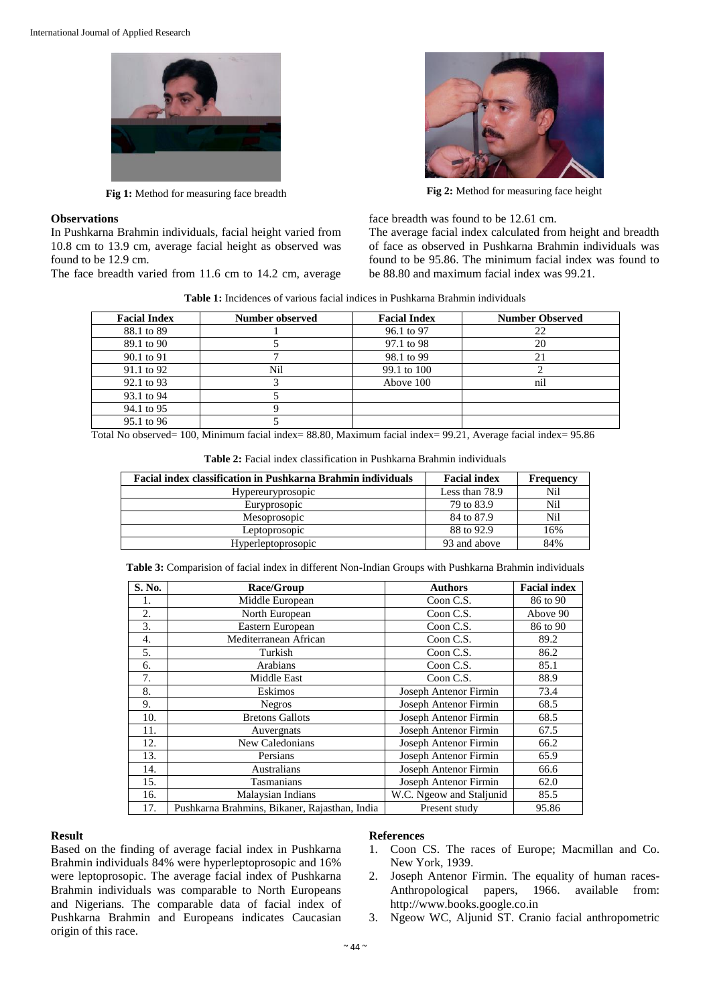

### **Observations**

In Pushkarna Brahmin individuals, facial height varied from 10.8 cm to 13.9 cm, average facial height as observed was found to be 12.9 cm.

The face breadth varied from 11.6 cm to 14.2 cm, average



**Fig 1:** Method for measuring face breadth **Fig 2:** Method for measuring face height

face breadth was found to be 12.61 cm.

The average facial index calculated from height and breadth of face as observed in Pushkarna Brahmin individuals was found to be 95.86. The minimum facial index was found to be 88.80 and maximum facial index was 99.21.

|  |  |  |  |  |  |  | <b>Table 1:</b> Incidences of various facial indices in Pushkarna Brahmin individuals |
|--|--|--|--|--|--|--|---------------------------------------------------------------------------------------|
|--|--|--|--|--|--|--|---------------------------------------------------------------------------------------|

| <b>Facial Index</b> | Number observed | <b>Facial Index</b> | <b>Number Observed</b> |
|---------------------|-----------------|---------------------|------------------------|
| 88.1 to 89          |                 | 96.1 to 97          | 22                     |
| 89.1 to 90          |                 | 97.1 to 98          | 20                     |
| 90.1 to 91          |                 | 98.1 to 99          | 21                     |
| 91.1 to 92          | Nil             | 99.1 to 100         |                        |
| 92.1 to 93          |                 | Above 100           | nil                    |
| 93.1 to 94          |                 |                     |                        |
| 94.1 to 95          |                 |                     |                        |
| 95.1 to 96          |                 |                     |                        |

Total No observed= 100, Minimum facial index= 88.80, Maximum facial index= 99.21, Average facial index= 95.86

| Facial index classification in Pushkarna Brahmin individuals | <b>Facial index</b> | Frequency |
|--------------------------------------------------------------|---------------------|-----------|
| <i>Hypereuryprosopic</i>                                     | Less than 78.9      | Nil       |
| Euryprosopic                                                 | 79 to 83.9          | Nil       |
| Mesoprosopic                                                 | 84 to 87.9          | Nil       |
| Leptoprosopic                                                | 88 to 92.9          | 16%       |
| Hyperleptoprosopic                                           | 93 and above        | 84%       |

**Table 2:** Facial index classification in Pushkarna Brahmin individuals

**Table 3:** Comparision of facial index in different Non-Indian Groups with Pushkarna Brahmin individuals

| S. No. | Race/Group                                    | <b>Authors</b>               | <b>Facial index</b> |
|--------|-----------------------------------------------|------------------------------|---------------------|
| 1.     | Middle European                               | Coon C.S.                    | 86 to 90            |
| 2.     | North European                                | Coon C.S.                    | Above 90            |
| 3.     | Eastern European                              | Coon C.S.                    | 86 to 90            |
| 4.     | Mediterranean African                         | Coon C.S.                    | 89.2                |
| 5.     | Turkish                                       | Coon C.S.                    | 86.2                |
| 6.     | Arabians                                      | Coon C.S.                    | 85.1                |
| 7.     | Middle East                                   | Coon C.S.                    | 88.9                |
| 8.     | Eskimos                                       | <b>Joseph Antenor Firmin</b> | 73.4                |
| 9.     | <b>Negros</b>                                 | Joseph Antenor Firmin        | 68.5                |
| 10.    | <b>Bretons Gallots</b>                        | Joseph Antenor Firmin        | 68.5                |
| 11.    | Auvergnats                                    | <b>Joseph Antenor Firmin</b> | 67.5                |
| 12.    | New Caledonians                               | Joseph Antenor Firmin        | 66.2                |
| 13.    | Persians                                      | Joseph Antenor Firmin        | 65.9                |
| 14.    | Australians                                   | <b>Joseph Antenor Firmin</b> | 66.6                |
| 15.    | Tasmanians                                    | Joseph Antenor Firmin        | 62.0                |
| 16.    | Malaysian Indians                             | W.C. Ngeow and Staljunid     | 85.5                |
| 17.    | Pushkarna Brahmins, Bikaner, Rajasthan, India | Present study                | 95.86               |

#### **Result**

Based on the finding of average facial index in Pushkarna Brahmin individuals 84% were hyperleptoprosopic and 16% were leptoprosopic. The average facial index of Pushkarna Brahmin individuals was comparable to North Europeans and Nigerians. The comparable data of facial index of Pushkarna Brahmin and Europeans indicates Caucasian origin of this race.

# **References**

- 1. Coon CS. The races of Europe; Macmillan and Co. New York, 1939.
- 2. Joseph Antenor Firmin. The equality of human races-Anthropological papers, 1966. available from: http://www.books.google.co.in
- 3. Ngeow WC, Aljunid ST. Cranio facial anthropometric